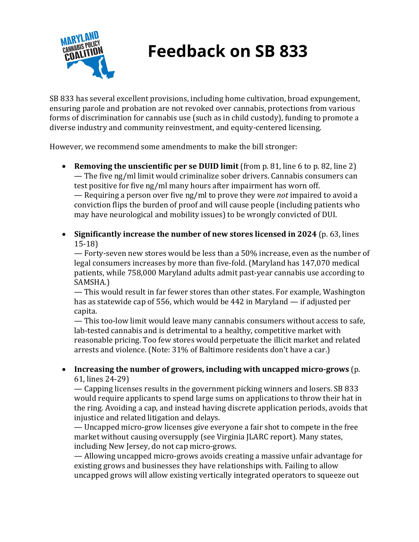

# **Feedback on SB 833**

SB 833 has several excellent provisions, including home cultivation, broad expungement, ensuring parole and probation are not revoked over cannabis, protections from various forms of discrimination for cannabis use (such as in child custody), funding to promote a diverse industry and community reinvestment, and equity-centered licensing.

However, we recommend some amendments to make the bill stronger:

- **Removing the unscientific per se DUID limit** (from p. 81, line 6 to p. 82, line 2)  $-$  The five ng/ml limit would criminalize sober drivers. Cannabis consumers can test positive for five ng/ml many hours after impairment has worn off. — Requiring a person over five ng/ml to prove they were *not* impaired to avoid a conviction flips the burden of proof and will cause people (including patients who may have neurological and mobility issues) to be wrongly convicted of DUI.
- Significantly increase the number of new stores licensed in 2024 (p. 63, lines 15-18)

 $-$  Forty-seven new stores would be less than a 50% increase, even as the number of legal consumers increases by more than five-fold. (Maryland has 147,070 medical patients, while 758,000 Maryland adults admit past-year cannabis use according to SAMSHA.)

— This would result in far fewer stores than other states. For example, Washington has as statewide cap of 556, which would be 442 in Maryland — if adjusted per capita.

— This too-low limit would leave many cannabis consumers without access to safe, lab-tested cannabis and is detrimental to a healthy, competitive market with reasonable pricing. Too few stores would perpetuate the illicit market and related arrests and violence. (Note: 31% of Baltimore residents don't have a car.)

### • Increasing the number of growers, including with uncapped micro-grows (p. 61, lines 24-29)

— Capping licenses results in the government picking winners and losers. SB 833 would require applicants to spend large sums on applications to throw their hat in the ring. Avoiding a cap, and instead having discrete application periods, avoids that injustice and related litigation and delays.

— Uncapped micro-grow licenses give everyone a fair shot to compete in the free market without causing oversupply (see Virginia JLARC report). Many states, including New Jersey, do not cap micro-grows.

— Allowing uncapped micro-grows avoids creating a massive unfair advantage for existing grows and businesses they have relationships with. Failing to allow uncapped grows will allow existing vertically integrated operators to squeeze out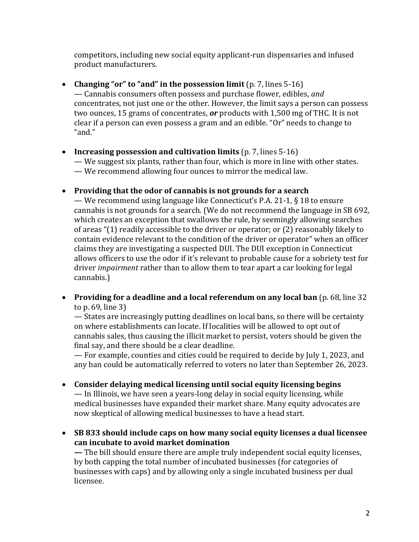competitors, including new social equity applicant-run dispensaries and infused product manufacturers.

# • Changing "or" to "and" in the possession limit (p. 7, lines 5-16)

 $-$  Cannabis consumers often possess and purchase flower, edibles, and concentrates, not just one or the other. However, the limit says a person can possess two ounces, 15 grams of concentrates, *or* products with 1,500 mg of THC. It is not clear if a person can even possess a gram and an edible. "Or" needs to change to "and."

#### • Increasing possession and cultivation limits (p. 7, lines 5-16)

— We suggest six plants, rather than four, which is more in line with other states. — We recommend allowing four ounces to mirror the medical law.

### • Providing that the odor of cannabis is not grounds for a search

— We recommend using language like Connecticut's P.A. 21-1,  $\S$  18 to ensure cannabis is not grounds for a search. (We do not recommend the language in SB 692, which creates an exception that swallows the rule, by seemingly allowing searches of areas " $(1)$  readily accessible to the driver or operator; or  $(2)$  reasonably likely to contain evidence relevant to the condition of the driver or operator" when an officer claims they are investigating a suspected DUI. The DUI exception in Connecticut allows officers to use the odor if it's relevant to probable cause for a sobriety test for driver *impairment* rather than to allow them to tear apart a car looking for legal cannabis.)

### • Providing for a deadline and a local referendum on any local ban (p. 68, line 32) to p.  $69$ , line  $3$ )

— States are increasingly putting deadlines on local bans, so there will be certainty on where establishments can locate. If localities will be allowed to opt out of cannabis sales, thus causing the illicit market to persist, voters should be given the final say, and there should be a clear deadline.

— For example, counties and cities could be required to decide by July 1, 2023, and any ban could be automatically referred to voters no later than September 26, 2023.

• Consider delaying medical licensing until social equity licensing begins

— In Illinois, we have seen a years-long delay in social equity licensing, while medical businesses have expanded their market share. Many equity advocates are now skeptical of allowing medical businesses to have a head start.

• SB 833 should include caps on how many social equity licenses a dual licensee **can incubate to avoid market domination**

 $\overline{\phantom{a}}$  The bill should ensure there are ample truly independent social equity licenses, by both capping the total number of incubated businesses (for categories of businesses with caps) and by allowing only a single incubated business per dual licensee.